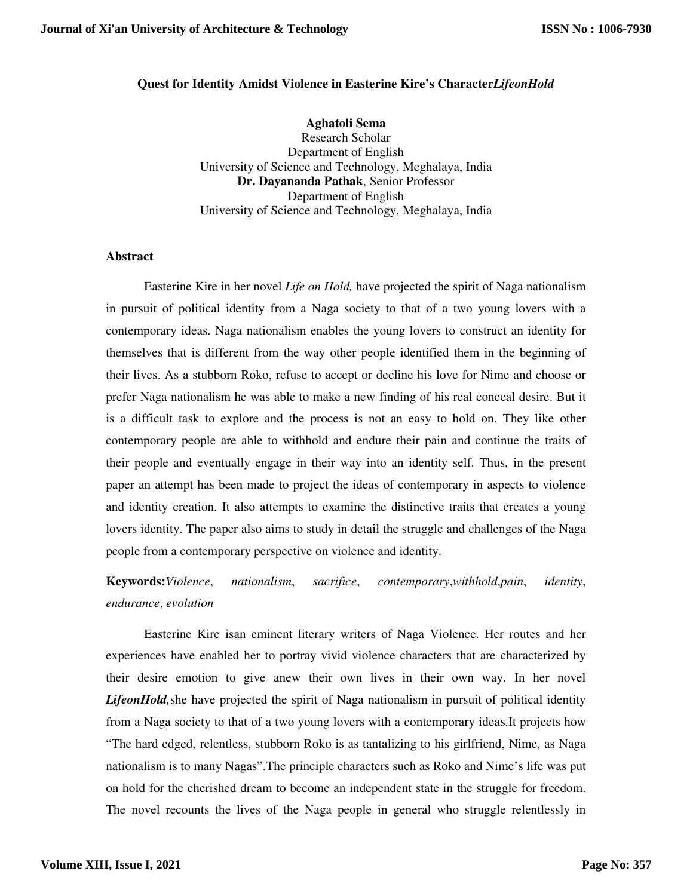## **Quest for Identity Amidst Violence in Easterine Kire's Character***LifeonHold*

**Aghatoli Sema**  Research Scholar Department of English University of Science and Technology, Meghalaya, India **Dr. Dayananda Pathak**, Senior Professor Department of English University of Science and Technology, Meghalaya, India

## **Abstract**

Easterine Kire in her novel *Life on Hold,* have projected the spirit of Naga nationalism in pursuit of political identity from a Naga society to that of a two young lovers with a contemporary ideas. Naga nationalism enables the young lovers to construct an identity for themselves that is different from the way other people identified them in the beginning of their lives. As a stubborn Roko, refuse to accept or decline his love for Nime and choose or prefer Naga nationalism he was able to make a new finding of his real conceal desire. But it is a difficult task to explore and the process is not an easy to hold on. They like other contemporary people are able to withhold and endure their pain and continue the traits of their people and eventually engage in their way into an identity self. Thus, in the present paper an attempt has been made to project the ideas of contemporary in aspects to violence and identity creation. It also attempts to examine the distinctive traits that creates a young lovers identity. The paper also aims to study in detail the struggle and challenges of the Naga people from a contemporary perspective on violence and identity.

**Keywords:***Violence*, *nationalism*, *sacrifice*, *contemporary*,*withhold*,*pain*, *identity*, *endurance*, *evolution*

Easterine Kire isan eminent literary writers of Naga Violence. Her routes and her experiences have enabled her to portray vivid violence characters that are characterized by their desire emotion to give anew their own lives in their own way. In her novel *LifeonHold,*she have projected the spirit of Naga nationalism in pursuit of political identity from a Naga society to that of a two young lovers with a contemporary ideas.It projects how "The hard edged, relentless, stubborn Roko is as tantalizing to his girlfriend, Nime, as Naga nationalism is to many Nagas".The principle characters such as Roko and Nime's life was put on hold for the cherished dream to become an independent state in the struggle for freedom. The novel recounts the lives of the Naga people in general who struggle relentlessly in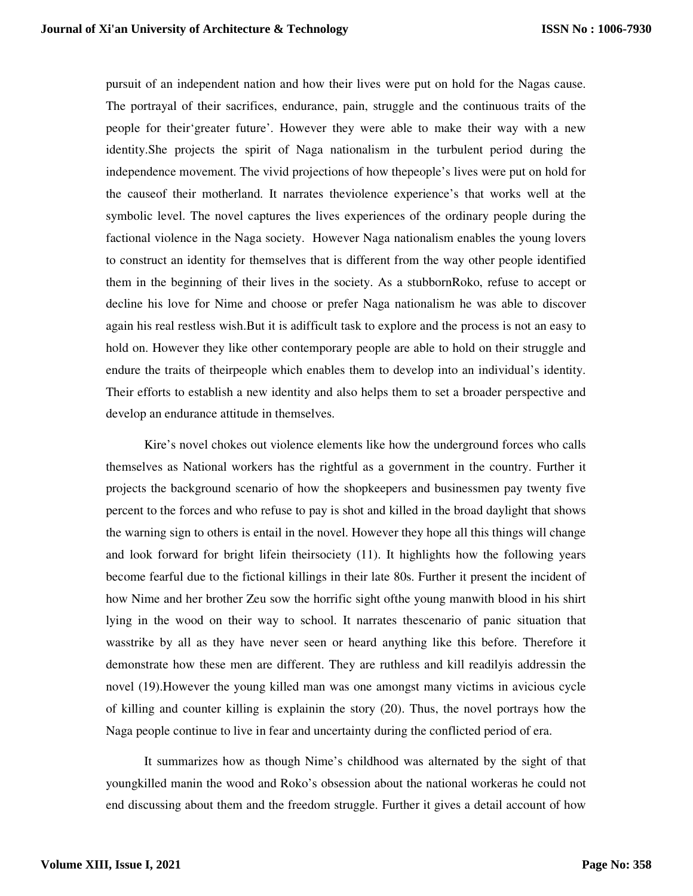pursuit of an independent nation and how their lives were put on hold for the Nagas cause. The portrayal of their sacrifices, endurance, pain, struggle and the continuous traits of the people for their'greater future'. However they were able to make their way with a new identity.She projects the spirit of Naga nationalism in the turbulent period during the independence movement. The vivid projections of how thepeople's lives were put on hold for the causeof their motherland. It narrates theviolence experience's that works well at the symbolic level. The novel captures the lives experiences of the ordinary people during the factional violence in the Naga society. However Naga nationalism enables the young lovers to construct an identity for themselves that is different from the way other people identified them in the beginning of their lives in the society. As a stubbornRoko, refuse to accept or decline his love for Nime and choose or prefer Naga nationalism he was able to discover again his real restless wish.But it is adifficult task to explore and the process is not an easy to hold on. However they like other contemporary people are able to hold on their struggle and endure the traits of theirpeople which enables them to develop into an individual's identity. Their efforts to establish a new identity and also helps them to set a broader perspective and develop an endurance attitude in themselves.

Kire's novel chokes out violence elements like how the underground forces who calls themselves as National workers has the rightful as a government in the country. Further it projects the background scenario of how the shopkeepers and businessmen pay twenty five percent to the forces and who refuse to pay is shot and killed in the broad daylight that shows the warning sign to others is entail in the novel. However they hope all this things will change and look forward for bright lifein theirsociety (11). It highlights how the following years become fearful due to the fictional killings in their late 80s. Further it present the incident of how Nime and her brother Zeu sow the horrific sight ofthe young manwith blood in his shirt lying in the wood on their way to school. It narrates thescenario of panic situation that wasstrike by all as they have never seen or heard anything like this before. Therefore it demonstrate how these men are different. They are ruthless and kill readilyis addressin the novel (19).However the young killed man was one amongst many victims in avicious cycle of killing and counter killing is explainin the story (20). Thus, the novel portrays how the Naga people continue to live in fear and uncertainty during the conflicted period of era.

It summarizes how as though Nime's childhood was alternated by the sight of that youngkilled manin the wood and Roko's obsession about the national workeras he could not end discussing about them and the freedom struggle. Further it gives a detail account of how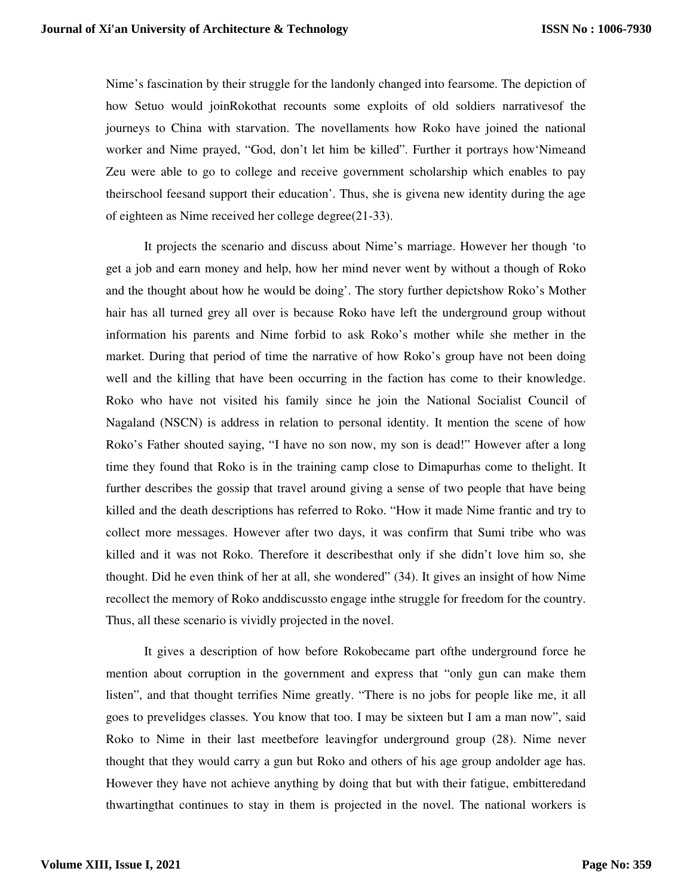Nime's fascination by their struggle for the landonly changed into fearsome. The depiction of how Setuo would joinRokothat recounts some exploits of old soldiers narrativesof the journeys to China with starvation. The novellaments how Roko have joined the national worker and Nime prayed, "God, don't let him be killed". Further it portrays how'Nimeand Zeu were able to go to college and receive government scholarship which enables to pay theirschool feesand support their education'. Thus, she is givena new identity during the age of eighteen as Nime received her college degree(21-33).

It projects the scenario and discuss about Nime's marriage. However her though 'to get a job and earn money and help, how her mind never went by without a though of Roko and the thought about how he would be doing'. The story further depictshow Roko's Mother hair has all turned grey all over is because Roko have left the underground group without information his parents and Nime forbid to ask Roko's mother while she mether in the market. During that period of time the narrative of how Roko's group have not been doing well and the killing that have been occurring in the faction has come to their knowledge. Roko who have not visited his family since he join the National Socialist Council of Nagaland (NSCN) is address in relation to personal identity. It mention the scene of how Roko's Father shouted saying, "I have no son now, my son is dead!" However after a long time they found that Roko is in the training camp close to Dimapurhas come to thelight. It further describes the gossip that travel around giving a sense of two people that have being killed and the death descriptions has referred to Roko. "How it made Nime frantic and try to collect more messages. However after two days, it was confirm that Sumi tribe who was killed and it was not Roko. Therefore it describesthat only if she didn't love him so, she thought. Did he even think of her at all, she wondered" (34). It gives an insight of how Nime recollect the memory of Roko anddiscussto engage inthe struggle for freedom for the country. Thus, all these scenario is vividly projected in the novel.

It gives a description of how before Rokobecame part ofthe underground force he mention about corruption in the government and express that "only gun can make them listen", and that thought terrifies Nime greatly. "There is no jobs for people like me, it all goes to prevelidges classes. You know that too. I may be sixteen but I am a man now", said Roko to Nime in their last meetbefore leavingfor underground group (28). Nime never thought that they would carry a gun but Roko and others of his age group andolder age has. However they have not achieve anything by doing that but with their fatigue, embitteredand thwartingthat continues to stay in them is projected in the novel. The national workers is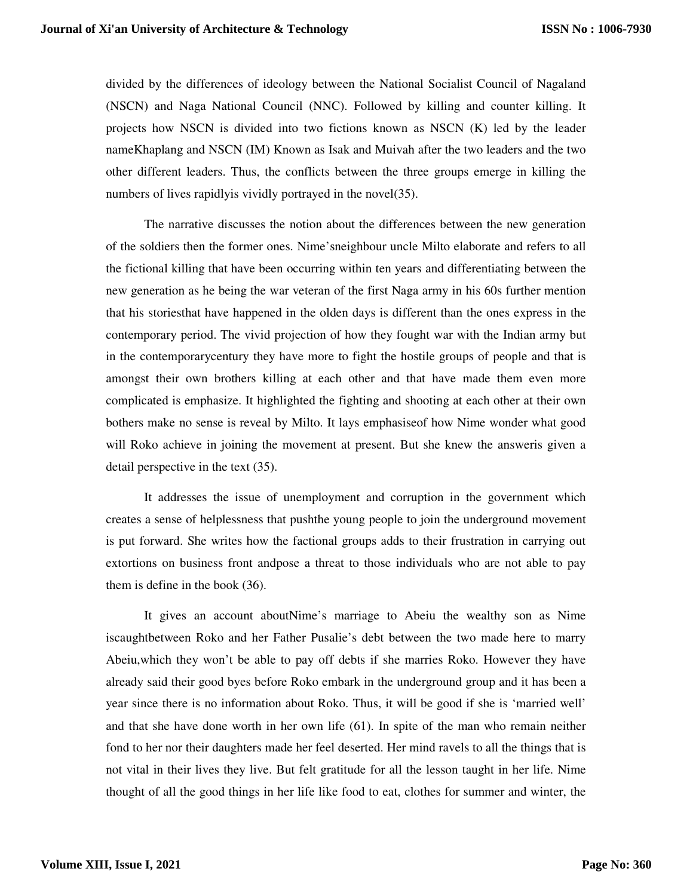divided by the differences of ideology between the National Socialist Council of Nagaland (NSCN) and Naga National Council (NNC). Followed by killing and counter killing. It projects how NSCN is divided into two fictions known as NSCN (K) led by the leader nameKhaplang and NSCN (IM) Known as Isak and Muivah after the two leaders and the two other different leaders. Thus, the conflicts between the three groups emerge in killing the numbers of lives rapidlyis vividly portrayed in the novel(35).

The narrative discusses the notion about the differences between the new generation of the soldiers then the former ones. Nime'sneighbour uncle Milto elaborate and refers to all the fictional killing that have been occurring within ten years and differentiating between the new generation as he being the war veteran of the first Naga army in his 60s further mention that his storiesthat have happened in the olden days is different than the ones express in the contemporary period. The vivid projection of how they fought war with the Indian army but in the contemporarycentury they have more to fight the hostile groups of people and that is amongst their own brothers killing at each other and that have made them even more complicated is emphasize. It highlighted the fighting and shooting at each other at their own bothers make no sense is reveal by Milto. It lays emphasiseof how Nime wonder what good will Roko achieve in joining the movement at present. But she knew the answeris given a detail perspective in the text (35).

It addresses the issue of unemployment and corruption in the government which creates a sense of helplessness that pushthe young people to join the underground movement is put forward. She writes how the factional groups adds to their frustration in carrying out extortions on business front andpose a threat to those individuals who are not able to pay them is define in the book (36).

It gives an account aboutNime's marriage to Abeiu the wealthy son as Nime iscaughtbetween Roko and her Father Pusalie's debt between the two made here to marry Abeiu,which they won't be able to pay off debts if she marries Roko. However they have already said their good byes before Roko embark in the underground group and it has been a year since there is no information about Roko. Thus, it will be good if she is 'married well' and that she have done worth in her own life (61). In spite of the man who remain neither fond to her nor their daughters made her feel deserted. Her mind ravels to all the things that is not vital in their lives they live. But felt gratitude for all the lesson taught in her life. Nime thought of all the good things in her life like food to eat, clothes for summer and winter, the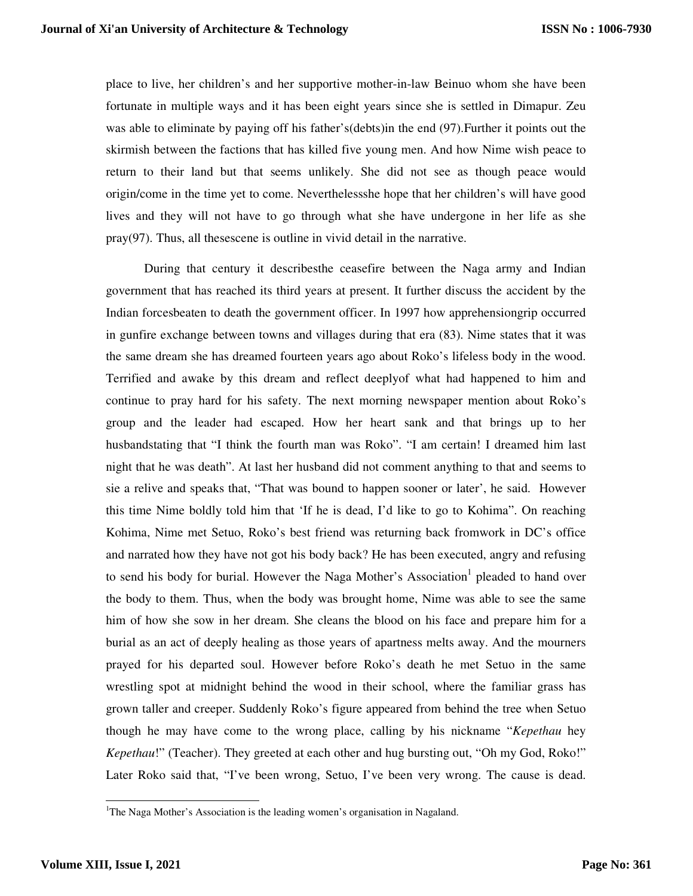place to live, her children's and her supportive mother-in-law Beinuo whom she have been fortunate in multiple ways and it has been eight years since she is settled in Dimapur. Zeu was able to eliminate by paying off his father's(debts)in the end (97).Further it points out the skirmish between the factions that has killed five young men. And how Nime wish peace to return to their land but that seems unlikely. She did not see as though peace would origin/come in the time yet to come. Neverthelessshe hope that her children's will have good lives and they will not have to go through what she have undergone in her life as she pray(97). Thus, all thesescene is outline in vivid detail in the narrative.

During that century it describesthe ceasefire between the Naga army and Indian government that has reached its third years at present. It further discuss the accident by the Indian forcesbeaten to death the government officer. In 1997 how apprehensiongrip occurred in gunfire exchange between towns and villages during that era (83). Nime states that it was the same dream she has dreamed fourteen years ago about Roko's lifeless body in the wood. Terrified and awake by this dream and reflect deeplyof what had happened to him and continue to pray hard for his safety. The next morning newspaper mention about Roko's group and the leader had escaped. How her heart sank and that brings up to her husbandstating that "I think the fourth man was Roko". "I am certain! I dreamed him last night that he was death". At last her husband did not comment anything to that and seems to sie a relive and speaks that, "That was bound to happen sooner or later', he said. However this time Nime boldly told him that 'If he is dead, I'd like to go to Kohima". On reaching Kohima, Nime met Setuo, Roko's best friend was returning back fromwork in DC's office and narrated how they have not got his body back? He has been executed, angry and refusing to send his body for burial. However the Naga Mother's Association<sup>1</sup> pleaded to hand over the body to them. Thus, when the body was brought home, Nime was able to see the same him of how she sow in her dream. She cleans the blood on his face and prepare him for a burial as an act of deeply healing as those years of apartness melts away. And the mourners prayed for his departed soul. However before Roko's death he met Setuo in the same wrestling spot at midnight behind the wood in their school, where the familiar grass has grown taller and creeper. Suddenly Roko's figure appeared from behind the tree when Setuo though he may have come to the wrong place, calling by his nickname "*Kepethau* hey *Kepethau*!" (Teacher). They greeted at each other and hug bursting out, "Oh my God, Roko!" Later Roko said that, "I've been wrong, Setuo, I've been very wrong. The cause is dead.

 $\overline{a}$ 

<sup>&</sup>lt;sup>1</sup>The Naga Mother's Association is the leading women's organisation in Nagaland.